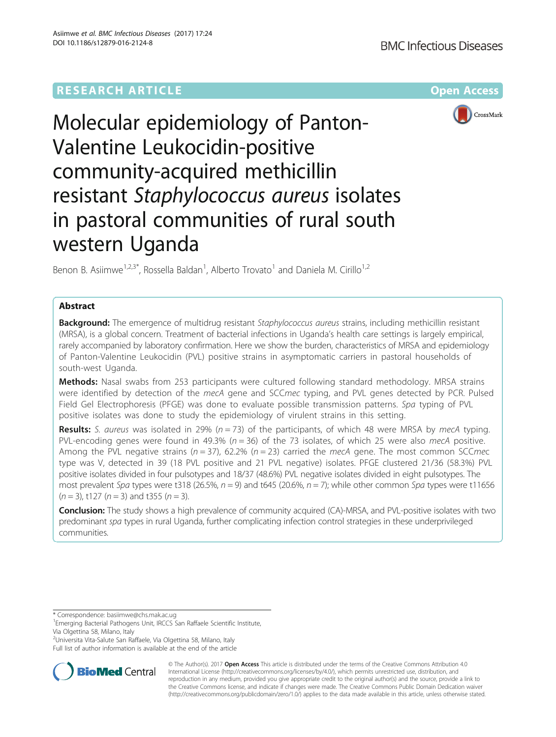## **RESEARCH ARTICLE Example 2014 12:30 The Contract of Contract ACCESS**



# Molecular epidemiology of Panton-Valentine Leukocidin-positive community-acquired methicillin resistant Staphylococcus aureus isolates in pastoral communities of rural south western Uganda

Benon B. Asiimwe $^{1,2,3^*}$ , Rossella Baldan<sup>1</sup>, Alberto Trovato<sup>1</sup> and Daniela M. Cirillo<sup>1,2</sup>

## Abstract

Background: The emergence of multidrug resistant Staphylococcus aureus strains, including methicillin resistant (MRSA), is a global concern. Treatment of bacterial infections in Uganda's health care settings is largely empirical, rarely accompanied by laboratory confirmation. Here we show the burden, characteristics of MRSA and epidemiology of Panton-Valentine Leukocidin (PVL) positive strains in asymptomatic carriers in pastoral households of south-west Uganda.

Methods: Nasal swabs from 253 participants were cultured following standard methodology. MRSA strains were identified by detection of the mecA gene and SCCmec typing, and PVL genes detected by PCR. Pulsed Field Gel Electrophoresis (PFGE) was done to evaluate possible transmission patterns. Spa typing of PVL positive isolates was done to study the epidemiology of virulent strains in this setting.

**Results:** S. aureus was isolated in 29% ( $n = 73$ ) of the participants, of which 48 were MRSA by mecA typing. PVL-encoding genes were found in 49.3% ( $n = 36$ ) of the 73 isolates, of which 25 were also mecA positive. Among the PVL negative strains ( $n = 37$ ), 62.2% ( $n = 23$ ) carried the mecA gene. The most common SCCmec type was V, detected in 39 (18 PVL positive and 21 PVL negative) isolates. PFGE clustered 21/36 (58.3%) PVL positive isolates divided in four pulsotypes and 18/37 (48.6%) PVL negative isolates divided in eight pulsotypes. The most prevalent Spa types were t318 (26.5%,  $n = 9$ ) and t645 (20.6%,  $n = 7$ ); while other common Spa types were t11656  $(n = 3)$ , t127  $(n = 3)$  and t355  $(n = 3)$ .

**Conclusion:** The study shows a high prevalence of community acquired (CA)-MRSA, and PVL-positive isolates with two predominant spa types in rural Uganda, further complicating infection control strategies in these underprivileged communities.

\* Correspondence: [basiimwe@chs.mak.ac.ug](mailto:basiimwe@chs.mak.ac.ug) <sup>1</sup>

2 Universita Vita-Salute San Raffaele, Via Olgettina 58, Milano, Italy

Full list of author information is available at the end of the article



© The Author(s). 2017 **Open Access** This article is distributed under the terms of the Creative Commons Attribution 4.0 International License [\(http://creativecommons.org/licenses/by/4.0/](http://creativecommons.org/licenses/by/4.0/)), which permits unrestricted use, distribution, and reproduction in any medium, provided you give appropriate credit to the original author(s) and the source, provide a link to the Creative Commons license, and indicate if changes were made. The Creative Commons Public Domain Dedication waiver [\(http://creativecommons.org/publicdomain/zero/1.0/](http://creativecommons.org/publicdomain/zero/1.0/)) applies to the data made available in this article, unless otherwise stated.

<sup>&</sup>lt;sup>1</sup> Emerging Bacterial Pathogens Unit, IRCCS San Raffaele Scientific Institute, Via Olgettina 58, Milano, Italy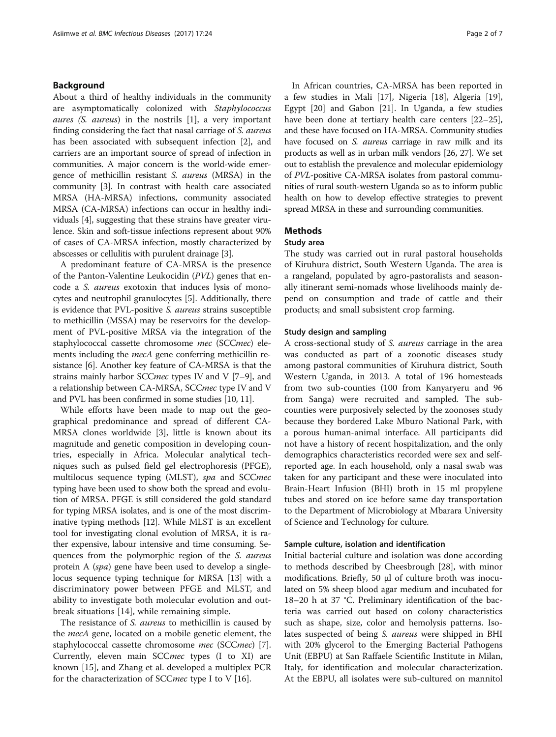## Background

About a third of healthy individuals in the community are asymptomatically colonized with Staphylococcus aures (S. aureus) in the nostrils [\[1](#page-5-0)], a very important finding considering the fact that nasal carriage of S. aureus has been associated with subsequent infection [[2](#page-5-0)], and carriers are an important source of spread of infection in communities. A major concern is the world-wide emergence of methicillin resistant S. aureus (MRSA) in the community [[3](#page-5-0)]. In contrast with health care associated MRSA (HA-MRSA) infections, community associated MRSA (CA-MRSA) infections can occur in healthy individuals [\[4](#page-5-0)], suggesting that these strains have greater virulence. Skin and soft-tissue infections represent about 90% of cases of CA-MRSA infection, mostly characterized by abscesses or cellulitis with purulent drainage [\[3](#page-5-0)].

A predominant feature of CA-MRSA is the presence of the Panton-Valentine Leukocidin (PVL) genes that encode a S. aureus exotoxin that induces lysis of monocytes and neutrophil granulocytes [\[5\]](#page-5-0). Additionally, there is evidence that PVL-positive S. aureus strains susceptible to methicillin (MSSA) may be reservoirs for the development of PVL-positive MRSA via the integration of the staphylococcal cassette chromosome mec (SCCmec) elements including the *mecA* gene conferring methicillin resistance [\[6](#page-5-0)]. Another key feature of CA-MRSA is that the strains mainly harbor SCCmec types IV and V [[7](#page-5-0)–[9](#page-5-0)], and a relationship between CA-MRSA, SCCmec type IV and V and PVL has been confirmed in some studies [\[10, 11](#page-5-0)].

While efforts have been made to map out the geographical predominance and spread of different CA-MRSA clones worldwide [\[3\]](#page-5-0), little is known about its magnitude and genetic composition in developing countries, especially in Africa. Molecular analytical techniques such as pulsed field gel electrophoresis (PFGE), multilocus sequence typing (MLST), spa and SCCmec typing have been used to show both the spread and evolution of MRSA. PFGE is still considered the gold standard for typing MRSA isolates, and is one of the most discriminative typing methods [\[12](#page-5-0)]. While MLST is an excellent tool for investigating clonal evolution of MRSA, it is rather expensive, labour intensive and time consuming. Sequences from the polymorphic region of the S. aureus protein A (spa) gene have been used to develop a singlelocus sequence typing technique for MRSA [[13](#page-5-0)] with a discriminatory power between PFGE and MLST, and ability to investigate both molecular evolution and outbreak situations [[14\]](#page-5-0), while remaining simple.

The resistance of S. *aureus* to methicillin is caused by the mecA gene, located on a mobile genetic element, the staphylococcal cassette chromosome mec (SCCmec) [\[7](#page-5-0)]. Currently, eleven main SCCmec types (I to XI) are known [[15](#page-5-0)], and Zhang et al. developed a multiplex PCR for the characterization of SCC*mec* type I to V [\[16](#page-5-0)].

In African countries, CA-MRSA has been reported in a few studies in Mali [\[17\]](#page-5-0), Nigeria [[18](#page-5-0)], Algeria [\[19](#page-6-0)], Egypt [[20\]](#page-6-0) and Gabon [\[21](#page-6-0)]. In Uganda, a few studies have been done at tertiary health care centers [[22](#page-6-0)–[25](#page-6-0)], and these have focused on HA-MRSA. Community studies have focused on S. *aureus* carriage in raw milk and its products as well as in urban milk vendors [\[26, 27](#page-6-0)]. We set out to establish the prevalence and molecular epidemiology of PVL-positive CA-MRSA isolates from pastoral communities of rural south-western Uganda so as to inform public health on how to develop effective strategies to prevent spread MRSA in these and surrounding communities.

## Methods

#### Study area

The study was carried out in rural pastoral households of Kiruhura district, South Western Uganda. The area is a rangeland, populated by agro-pastoralists and seasonally itinerant semi-nomads whose livelihoods mainly depend on consumption and trade of cattle and their products; and small subsistent crop farming.

## Study design and sampling

A cross-sectional study of S. aureus carriage in the area was conducted as part of a zoonotic diseases study among pastoral communities of Kiruhura district, South Western Uganda, in 2013. A total of 196 homesteads from two sub-counties (100 from Kanyaryeru and 96 from Sanga) were recruited and sampled. The subcounties were purposively selected by the zoonoses study because they bordered Lake Mburo National Park, with a porous human-animal interface. All participants did not have a history of recent hospitalization, and the only demographics characteristics recorded were sex and selfreported age. In each household, only a nasal swab was taken for any participant and these were inoculated into Brain-Heart Infusion (BHI) broth in 15 ml propylene tubes and stored on ice before same day transportation to the Department of Microbiology at Mbarara University of Science and Technology for culture.

## Sample culture, isolation and identification

Initial bacterial culture and isolation was done according to methods described by Cheesbrough [[28\]](#page-6-0), with minor modifications. Briefly, 50 μl of culture broth was inoculated on 5% sheep blood agar medium and incubated for 18–20 h at 37 °C. Preliminary identification of the bacteria was carried out based on colony characteristics such as shape, size, color and hemolysis patterns. Isolates suspected of being S. aureus were shipped in BHI with 20% glycerol to the Emerging Bacterial Pathogens Unit (EBPU) at San Raffaele Scientific Institute in Milan, Italy, for identification and molecular characterization. At the EBPU, all isolates were sub-cultured on mannitol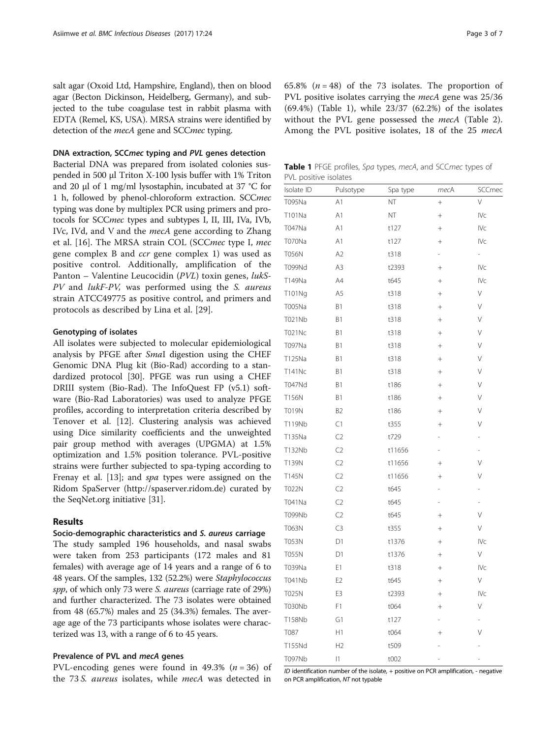<span id="page-2-0"></span>salt agar (Oxoid Ltd, Hampshire, England), then on blood agar (Becton Dickinson, Heidelberg, Germany), and subjected to the tube coagulase test in rabbit plasma with EDTA (Remel, KS, USA). MRSA strains were identified by detection of the mecA gene and SCCmec typing.

## DNA extraction, SCCmec typing and PVL genes detection

Bacterial DNA was prepared from isolated colonies suspended in 500 μl Triton X-100 lysis buffer with 1% Triton and 20 μl of 1 mg/ml lysostaphin, incubated at 37 °C for 1 h, followed by phenol-chloroform extraction. SCCmec typing was done by multiplex PCR using primers and protocols for SCCmec types and subtypes I, II, III, IVa, IVb, IVc, IVd, and V and the *mecA* gene according to Zhang et al. [[16\]](#page-5-0). The MRSA strain COL (SCCmec type I, mec gene complex B and ccr gene complex 1) was used as positive control. Additionally, amplification of the Panton – Valentine Leucocidin (PVL) toxin genes, lukS-PV and *lukF-PV*, was performed using the *S. aureus* strain ATCC49775 as positive control, and primers and protocols as described by Lina et al. [[29\]](#page-6-0).

## Genotyping of isolates

All isolates were subjected to molecular epidemiological analysis by PFGE after SmaI digestion using the CHEF Genomic DNA Plug kit (Bio-Rad) according to a standardized protocol [[30\]](#page-6-0). PFGE was run using a CHEF DRIII system (Bio-Rad). The InfoQuest FP (v5.1) software (Bio-Rad Laboratories) was used to analyze PFGE profiles, according to interpretation criteria described by Tenover et al. [\[12\]](#page-5-0). Clustering analysis was achieved using Dice similarity coefficients and the unweighted pair group method with averages (UPGMA) at 1.5% optimization and 1.5% position tolerance. PVL-positive strains were further subjected to spa-typing according to Frenay et al. [\[13](#page-5-0)]; and spa types were assigned on the Ridom SpaServer ([http://spaserver.ridom.de\)](http://spaserver.ridom.de/) curated by the SeqNet.org initiative [\[31\]](#page-6-0).

## Results

## Socio-demographic characteristics and S. aureus carriage

The study sampled 196 households, and nasal swabs were taken from 253 participants (172 males and 81 females) with average age of 14 years and a range of 6 to 48 years. Of the samples, 132 (52.2%) were Staphylococcus spp, of which only 73 were *S. aureus* (carriage rate of 29%) and further characterized. The 73 isolates were obtained from 48 (65.7%) males and 25 (34.3%) females. The average age of the 73 participants whose isolates were characterized was 13, with a range of 6 to 45 years.

## Prevalence of PVL and mecA genes

PVL-encoding genes were found in 49.3% ( $n = 36$ ) of the 73 S. aureus isolates, while mecA was detected in

65.8%  $(n = 48)$  of the 73 isolates. The proportion of PVL positive isolates carrying the *mecA* gene was 25/36 (69.4%) (Table 1), while 23/37 (62.2%) of the isolates without the PVL gene possessed the *mecA* (Table [2](#page-3-0)). Among the PVL positive isolates, 18 of the 25 mecA

Table 1 PFGE profiles, Spa types, mecA, and SCCmec types of PVL positive isolates

| Isolate ID    | Pulsotype      | Spa type | mecA            | SCCmec                   |
|---------------|----------------|----------|-----------------|--------------------------|
| T095Na        | A1             | ΝT       | $^{+}$          | $\vee$                   |
| T101Na        | A1             | NT       | $^{+}$          | IVc                      |
| T047Na        | A1             | t127     | $^{+}$          | IVc                      |
| T070Na        | A1             | t127     | $+$             | IVc                      |
| <b>T056N</b>  | A <sub>2</sub> | t318     |                 | $\overline{\phantom{0}}$ |
| T099Nd        | A3             | t2393    | $\! + \!\!\!\!$ | IV <sub>C</sub>          |
| T149Na        | A4             | t645     |                 | IV <sub>C</sub>          |
| T101Ng        | A5             | t318     |                 | V                        |
| T005Na        | B1             | t318     | $^{+}$          | V                        |
| T021Nb        | B1             | t318     | $^{+}$          | V                        |
| <b>T021Nc</b> | B1             | t318     | $^{+}$          | V                        |
| T097Na        | B1             | t318     | $^{+}$          | V                        |
| T125Na        | B1             | t318     | $^{+}$          | V                        |
| <b>T141Nc</b> | B1             | t318     | $^{+}$          | V                        |
| <b>T047Nd</b> | B1             | t186     | $+$             | V                        |
| T156N         | B1             | t186     | $+$             | V                        |
| <b>T019N</b>  | B <sub>2</sub> | t186     |                 | V                        |
| T119Nb        | C1             | t355     | $^{+}$          | V                        |
| T135Na        | C <sub>2</sub> | t729     | ÷,              | $\overline{a}$           |
| T132Nb        | C <sub>2</sub> | t11656   | L,              |                          |
| T139N         | C <sub>2</sub> | t11656   | $^{+}$          | V                        |
| T145N         | C <sub>2</sub> | t11656   | $^{+}$          | V                        |
| T022N         | C <sub>2</sub> | t645     | L,              |                          |
| T041Na        | C <sub>2</sub> | t645     |                 |                          |
| T099Nb        | C <sub>2</sub> | t645     | $^{+}$          | V                        |
| T063N         | C <sub>3</sub> | t355     | $^{+}$          | V                        |
| T053N         | D1             | t1376    | $\! + \!$       | <b>IVc</b>               |
| <b>T055N</b>  | D1             | t1376    | $^{+}$          | V                        |
| T039Na        | E1             | t318     | $^{+}$          | <b>IVc</b>               |
| T041Nb        | E <sub>2</sub> | t645     | $^{+}$          | V                        |
| T025N         | E3             | t2393    | $^{+}$          | <b>IVc</b>               |
| <b>T030Nb</b> | F1             | t064     | $^{+}$          | V                        |
| T158Nb        | G1             | t127     |                 |                          |
| T087          | H1             | t064     | $^{+}$          | ٧                        |
| T155Nd        | H <sub>2</sub> | t509     |                 |                          |
| T097Nb        | 1              | t002     |                 |                          |

ID identification number of the isolate, + positive on PCR amplification, - negative on PCR amplification, NT not typable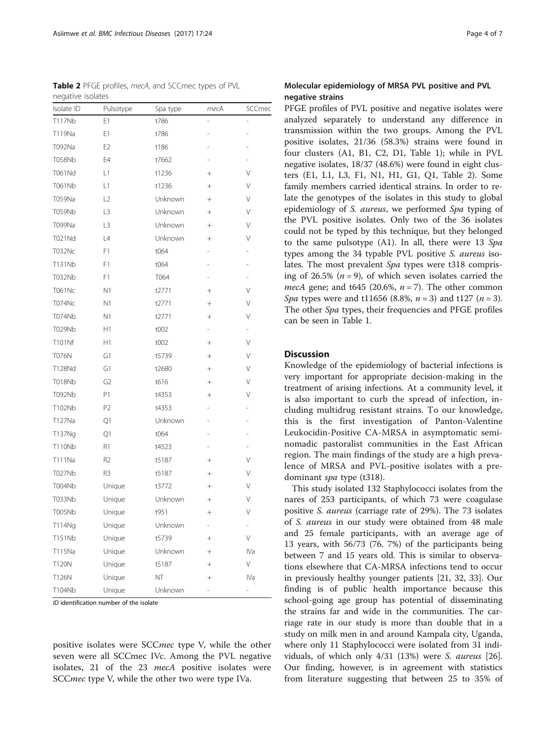positive isolates were SCCmec type V, while the other seven were all SCCmec IVc. Among the PVL negative isolates, 21 of the 23 *mecA* positive isolates were SCC*mec* type V, while the other two were type IVa.

ID identification number of the isolate

| negative isolates |                |          |                 |                |  |  |  |
|-------------------|----------------|----------|-----------------|----------------|--|--|--|
| Isolate ID        | Pulsotype      | Spa type | mecA            | SCCmec         |  |  |  |
| T117Nb            | E1             | t786     |                 |                |  |  |  |
| T119Na            | E1             | t786     |                 |                |  |  |  |
| T092Na            | E <sub>2</sub> | t186     |                 |                |  |  |  |
| <b>T058Nb</b>     | E4             | t7662    |                 |                |  |  |  |
| T061Nd            | L1             | t1236    | $^{+}$          | V              |  |  |  |
| T061Nb            | L1             | t1236    | $^{+}$          | V              |  |  |  |
| T059Na            | L2             | Unknown  | $^{+}$          | V              |  |  |  |
| <b>T059Nb</b>     | L3             | Unknown  | $^{+}$          | V              |  |  |  |
| T099Na            | L3             | Unknown  | $^{+}$          | V              |  |  |  |
| T021Nd            | L4             | Unknown  | $^{+}$          | V              |  |  |  |
| <b>T032Nc</b>     | F1             | t064     |                 |                |  |  |  |
| T131Nb            | F1             | t064     |                 |                |  |  |  |
| T032Nb            | F1             | T064     |                 |                |  |  |  |
| <b>T061Nc</b>     | N <sub>1</sub> | t2771    | $^{+}$          | V              |  |  |  |
| <b>T074Nc</b>     | N <sub>1</sub> | t2771    | $^{+}$          | V              |  |  |  |
| <b>T074Nb</b>     | N <sub>1</sub> | t2771    | $^{+}$          | V              |  |  |  |
| T029Nb            | Η1             | t002     |                 | $\overline{a}$ |  |  |  |
| T101Nf            | H1             | t002     |                 | V              |  |  |  |
| <b>T076N</b>      | G1             | t5739    | $^{+}$          | V              |  |  |  |
| T128Nd            | G1             | t2680    | $^{+}$          | V              |  |  |  |
| T018Nb            | G <sub>2</sub> | t616     | $^{+}$          | V              |  |  |  |
| T092Nb            | Ρ1             | t4353    | $^{+}$          | V              |  |  |  |
| T102Nb            | P2             | t4353    |                 |                |  |  |  |
| T127Na            | Q1             | Unknown  |                 |                |  |  |  |
| T137Ng            | Q1             | t064     |                 |                |  |  |  |
| <b>T110Nb</b>     | R1             | t4523    |                 |                |  |  |  |
| T111Na            | R <sub>2</sub> | t5187    | $^{+}$          | V              |  |  |  |
| T027Nb            | R3             | t5187    | $^{+}$          | V              |  |  |  |
| T004Nb            | Unique         | t3772    | $^{+}$          | V              |  |  |  |
| T033Nb            | Unique         | Unknown  |                 | V              |  |  |  |
| T005Nb            | Unique         | t951     | $+$             | V              |  |  |  |
| T114Ng            | Unique         | Unknown  |                 |                |  |  |  |
| T151Nb            | Unique         | t5739    | $\! + \!\!\!\!$ | V              |  |  |  |
| T115Na            | Unique         | Unknown  | $^{+}$          | IVa            |  |  |  |
| <b>T120N</b>      | Unique         | t5187    | $^{+}$          | V              |  |  |  |
| T126N             | Unique         | NΤ       | $\! + \!\!\!\!$ | IVa            |  |  |  |
| T104Nb            | Unique         | Unknown  | $\overline{a}$  | $\overline{a}$ |  |  |  |

<span id="page-3-0"></span>Table 2 PFGE profiles, mecA, and SCCmec types of PVL negative isolates

## Molecular epidemiology of MRSA PVL positive and PVL negative strains

PFGE profiles of PVL positive and negative isolates were analyzed separately to understand any difference in transmission within the two groups. Among the PVL positive isolates, 21/36 (58.3%) strains were found in four clusters (A1, B1, C2, D1, Table [1](#page-2-0)); while in PVL negative isolates, 18/37 (48.6%) were found in eight clusters (E1, L1, L3, F1, N1, H1, G1, Q1, Table 2). Some family members carried identical strains. In order to relate the genotypes of the isolates in this study to global epidemiology of S. aureus, we performed Spa typing of the PVL positive isolates. Only two of the 36 isolates could not be typed by this technique, but they belonged to the same pulsotype  $(A1)$ . In all, there were 13 Spa types among the 34 typable PVL positive S. aureus isolates. The most prevalent Spa types were t318 comprising of 26.5%  $(n = 9)$ , of which seven isolates carried the *mecA* gene; and t645 (20.6%,  $n = 7$ ). The other common Spa types were and t11656 (8.8%,  $n = 3$ ) and t127 ( $n = 3$ ). The other Spa types, their frequencies and PFGE profiles can be seen in Table [1](#page-2-0).

## **Discussion**

Knowledge of the epidemiology of bacterial infections is very important for appropriate decision-making in the treatment of arising infections. At a community level, it is also important to curb the spread of infection, including multidrug resistant strains. To our knowledge, this is the first investigation of Panton-Valentine Leukocidin-Positive CA-MRSA in asymptomatic seminomadic pastoralist communities in the East African region. The main findings of the study are a high prevalence of MRSA and PVL-positive isolates with a predominant spa type (t318).

This study isolated 132 Staphylococci isolates from the nares of 253 participants, of which 73 were coagulase positive S. aureus (carriage rate of 29%). The 73 isolates of S. aureus in our study were obtained from 48 male and 25 female participants, with an average age of 13 years, with 56/73 (76. 7%) of the participants being between 7 and 15 years old. This is similar to observations elsewhere that CA-MRSA infections tend to occur in previously healthy younger patients [\[21](#page-6-0), [32, 33\]](#page-6-0). Our finding is of public health importance because this school-going age group has potential of disseminating the strains far and wide in the communities. The carriage rate in our study is more than double that in a study on milk men in and around Kampala city, Uganda, where only 11 Staphylococci were isolated from 31 individuals, of which only 4/31 (13%) were S. aureus [\[26](#page-6-0)]. Our finding, however, is in agreement with statistics from literature suggesting that between 25 to 35% of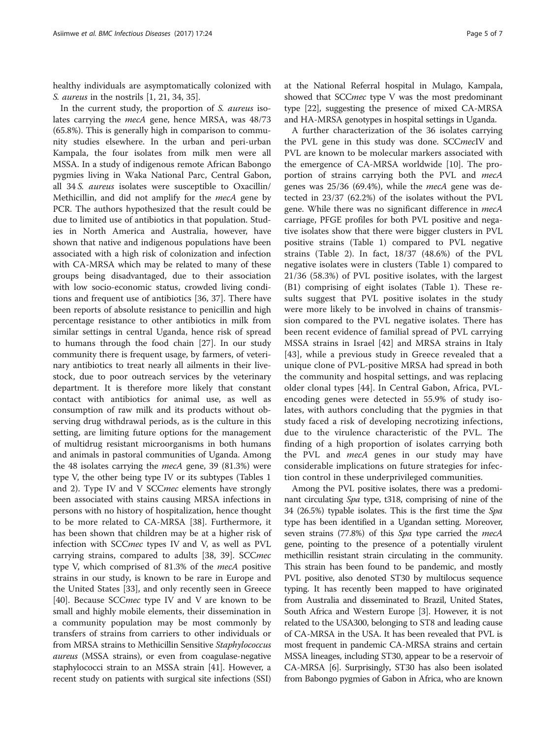healthy individuals are asymptomatically colonized with S. aureus in the nostrils [[1,](#page-5-0) [21, 34](#page-6-0), [35](#page-6-0)].

In the current study, the proportion of S. aureus isolates carrying the *mecA* gene, hence MRSA, was 48/73 (65.8%). This is generally high in comparison to community studies elsewhere. In the urban and peri-urban Kampala, the four isolates from milk men were all MSSA. In a study of indigenous remote African Babongo pygmies living in Waka National Parc, Central Gabon, all 34 S. aureus isolates were susceptible to Oxacillin/ Methicillin, and did not amplify for the mecA gene by PCR. The authors hypothesized that the result could be due to limited use of antibiotics in that population. Studies in North America and Australia, however, have shown that native and indigenous populations have been associated with a high risk of colonization and infection with CA-MRSA which may be related to many of these groups being disadvantaged, due to their association with low socio-economic status, crowded living conditions and frequent use of antibiotics [[36](#page-6-0), [37](#page-6-0)]. There have been reports of absolute resistance to penicillin and high percentage resistance to other antibiotics in milk from similar settings in central Uganda, hence risk of spread to humans through the food chain [[27\]](#page-6-0). In our study community there is frequent usage, by farmers, of veterinary antibiotics to treat nearly all ailments in their livestock, due to poor outreach services by the veterinary department. It is therefore more likely that constant contact with antibiotics for animal use, as well as consumption of raw milk and its products without observing drug withdrawal periods, as is the culture in this setting, are limiting future options for the management of multidrug resistant microorganisms in both humans and animals in pastoral communities of Uganda. Among the 48 isolates carrying the mecA gene, 39 (81.3%) were type V, the other being type IV or its subtypes (Tables [1](#page-2-0) and [2\)](#page-3-0). Type IV and V SCCmec elements have strongly been associated with stains causing MRSA infections in persons with no history of hospitalization, hence thought to be more related to CA-MRSA [[38](#page-6-0)]. Furthermore, it has been shown that children may be at a higher risk of infection with SCCmec types IV and V, as well as PVL carrying strains, compared to adults [[38](#page-6-0), [39](#page-6-0)]. SCCmec type V, which comprised of 81.3% of the mecA positive strains in our study, is known to be rare in Europe and the United States [[33\]](#page-6-0), and only recently seen in Greece [[40\]](#page-6-0). Because SCC*mec* type IV and V are known to be small and highly mobile elements, their dissemination in a community population may be most commonly by transfers of strains from carriers to other individuals or from MRSA strains to Methicillin Sensitive Staphylococcus aureus (MSSA strains), or even from coagulase-negative staphylococci strain to an MSSA strain [\[41\]](#page-6-0). However, a recent study on patients with surgical site infections (SSI)

at the National Referral hospital in Mulago, Kampala, showed that SCCmec type V was the most predominant type [\[22](#page-6-0)], suggesting the presence of mixed CA-MRSA

and HA-MRSA genotypes in hospital settings in Uganda. A further characterization of the 36 isolates carrying the PVL gene in this study was done. SCCmecIV and PVL are known to be molecular markers associated with the emergence of CA-MRSA worldwide [\[10\]](#page-5-0). The proportion of strains carrying both the PVL and mecA genes was 25/36 (69.4%), while the mecA gene was detected in 23/37 (62.2%) of the isolates without the PVL gene. While there was no significant difference in *mecA* carriage, PFGE profiles for both PVL positive and negative isolates show that there were bigger clusters in PVL positive strains (Table [1](#page-2-0)) compared to PVL negative strains (Table [2](#page-3-0)). In fact, 18/37 (48.6%) of the PVL negative isolates were in clusters (Table [1](#page-2-0)) compared to 21/36 (58.3%) of PVL positive isolates, with the largest (B1) comprising of eight isolates (Table [1](#page-2-0)). These results suggest that PVL positive isolates in the study were more likely to be involved in chains of transmission compared to the PVL negative isolates. There has been recent evidence of familial spread of PVL carrying MSSA strains in Israel [[42\]](#page-6-0) and MRSA strains in Italy [[43\]](#page-6-0), while a previous study in Greece revealed that a unique clone of PVL-positive MRSA had spread in both the community and hospital settings, and was replacing older clonal types [\[44](#page-6-0)]. In Central Gabon, Africa, PVLencoding genes were detected in 55.9% of study isolates, with authors concluding that the pygmies in that study faced a risk of developing necrotizing infections, due to the virulence characteristic of the PVL. The finding of a high proportion of isolates carrying both the PVL and mecA genes in our study may have considerable implications on future strategies for infection control in these underprivileged communities.

Among the PVL positive isolates, there was a predominant circulating Spa type, t318, comprising of nine of the 34 (26.5%) typable isolates. This is the first time the Spa type has been identified in a Ugandan setting. Moreover, seven strains (77.8%) of this Spa type carried the mecA gene, pointing to the presence of a potentially virulent methicillin resistant strain circulating in the community. This strain has been found to be pandemic, and mostly PVL positive, also denoted ST30 by multilocus sequence typing. It has recently been mapped to have originated from Australia and disseminated to Brazil, United States, South Africa and Western Europe [\[3](#page-5-0)]. However, it is not related to the USA300, belonging to ST8 and leading cause of CA-MRSA in the USA. It has been revealed that PVL is most frequent in pandemic CA-MRSA strains and certain MSSA lineages, including ST30, appear to be a reservoir of CA-MRSA [[6](#page-5-0)]. Surprisingly, ST30 has also been isolated from Babongo pygmies of Gabon in Africa, who are known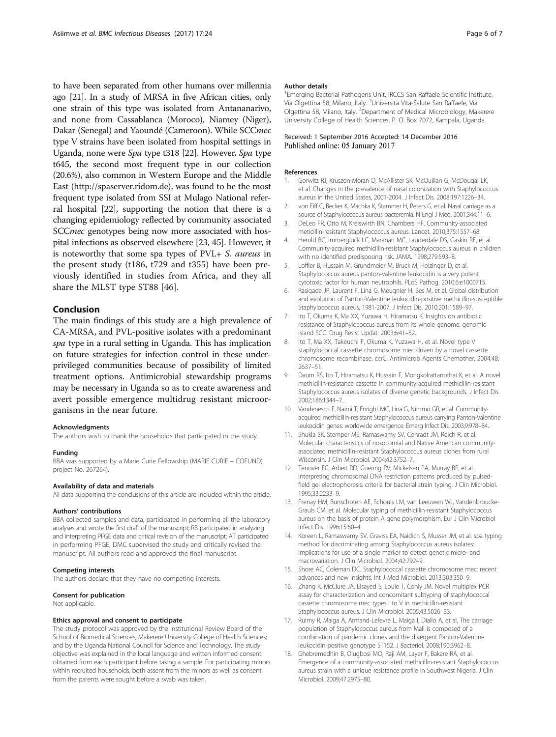<span id="page-5-0"></span>to have been separated from other humans over millennia ago [[21](#page-6-0)]. In a study of MRSA in five African cities, only one strain of this type was isolated from Antananarivo, and none from Cassablanca (Moroco), Niamey (Niger), Dakar (Senegal) and Yaoundé (Cameroon). While SCCmec type V strains have been isolated from hospital settings in Uganda, none were Spa type t318 [\[22\]](#page-6-0). However, Spa type t645, the second most frequent type in our collection (20.6%), also common in Western Europe and the Middle East [\(http://spaserver.ridom.de](http://spaserver.ridom.de/)), was found to be the most frequent type isolated from SSI at Mulago National referral hospital [[22](#page-6-0)], supporting the notion that there is a changing epidemiology reflected by community associated SCC*mec* genotypes being now more associated with hospital infections as observed elsewhere [[23](#page-6-0), [45\]](#page-6-0). However, it is noteworthy that some spa types of PVL+ S. aureus in the present study (t186, t729 and t355) have been previously identified in studies from Africa, and they all share the MLST type ST88 [[46](#page-6-0)].

## Conclusion

The main findings of this study are a high prevalence of CA-MRSA, and PVL-positive isolates with a predominant spa type in a rural setting in Uganda. This has implication on future strategies for infection control in these underprivileged communities because of possibility of limited treatment options. Antimicrobial stewardship programs may be necessary in Uganda so as to create awareness and avert possible emergence multidrug resistant microorganisms in the near future.

#### Acknowledgments

The authors wish to thank the households that participated in the study.

#### Funding

BBA was supported by a Marie Curie Fellowship (MARIE CURIE – COFUND) project No. 267264).

#### Availability of data and materials

All data supporting the conclusions of this article are included within the article.

#### Authors' contributions

BBA collected samples and data, participated in performing all the laboratory analyses and wrote the first draft of the manuscript; RB participated in analyzing and interpreting PFGE data and critical revision of the manuscript; AT participated in performing PFGE; DMC supervised the study and critically revised the manuscript. All authors read and approved the final manuscript.

#### Competing interests

The authors declare that they have no competing interests.

### Consent for publication

Not applicable.

#### Ethics approval and consent to participate

The study protocol was approved by the Institutional Review Board of the School of Biomedical Sciences, Makerere University College of Health Sciences; and by the Uganda National Council for Science and Technology. The study objective was explained in the local language and written informed consent obtained from each participant before taking a sample. For participating minors within recruited households, both assent from the minors as well as consent from the parents were sought before a swab was taken.

#### Author details

<sup>1</sup> Emerging Bacterial Pathogens Unit, IRCCS San Raffaele Scientific Institute, Via Olgettina 58, Milano, Italy. <sup>2</sup>Universita Vita-Salute San Raffaele, Via Olgettina 58, Milano, Italy. <sup>3</sup>Department of Medical Microbiology, Makerere University College of Health Sciences, P. O. Box 7072, Kampala, Uganda.

## Received: 1 September 2016 Accepted: 14 December 2016 Published online: 05 January 2017

#### References

- 1. Gorwitz RJ, Kruszon-Moran D, McAllister SK, McQuillan G, McDougal LK, et al. Changes in the prevalence of nasal colonization with Staphylococcus aureus in the United States, 2001-2004. J Infect Dis. 2008;197:1226–34.
- 2. von Eiff C, Becker K, Machka K, Stammer H, Peters G, et al. Nasal carriage as a source of Staphylococcus aureus bacteremia. N Engl J Med. 2001;344:11–6. 3. DeLeo FR, Otto M, Kreiswirth BN, Chambers HF. Community-associated
- meticillin-resistant Staphylococcus aureus. Lancet. 2010;375:1557–68.
- 4. Herold BC, Immergluck LC, Maranan MC, Lauderdale DS, Gaskin RE, et al. Community-acquired methicillin-resistant Staphylococcus aureus in children with no identified predisposing risk. JAMA. 1998;279:593–8.
- 5. Loffler B, Hussain M, Grundmeier M, Bruck M, Holzinger D, et al. Staphylococcus aureus panton-valentine leukocidin is a very potent cytotoxic factor for human neutrophils. PLoS Pathog. 2010;6:e1000715.
- 6. Rasigade JP, Laurent F, Lina G, Meugnier H, Bes M, et al. Global distribution and evolution of Panton-Valentine leukocidin-positive methicillin-susceptible Staphylococcus aureus, 1981-2007. J Infect Dis. 2010;201:1589–97.
- 7. Ito T, Okuma K, Ma XX, Yuzawa H, Hiramatsu K. Insights on antibiotic resistance of Staphylococcus aureus from its whole genome: genomic island SCC. Drug Resist Updat. 2003;6:41–52.
- 8. Ito T, Ma XX, Takeuchi F, Okuma K, Yuzawa H, et al. Novel type V staphylococcal cassette chromosome mec driven by a novel cassette chromosome recombinase, ccrC. Antimicrob Agents Chemother. 2004;48: 2637–51.
- Daum RS, Ito T, Hiramatsu K, Hussain F, Mongkolrattanothai K, et al. A novel methicillin-resistance cassette in community-acquired methicillin-resistant Staphylococcus aureus isolates of diverse genetic backgrounds. J Infect Dis. 2002;186:1344–7.
- 10. Vandenesch F, Naimi T, Enright MC, Lina G, Nimmo GR, et al. Communityacquired methicillin-resistant Staphylococcus aureus carrying Panton-Valentine leukocidin genes: worldwide emergence. Emerg Infect Dis. 2003;9:978–84.
- 11. Shukla SK, Stemper ME, Ramaswamy SV, Conradt JM, Reich R, et al. Molecular characteristics of nosocomial and Native American communityassociated methicillin-resistant Staphylococcus aureus clones from rural Wisconsin. J Clin Microbiol. 2004;42:3752–7.
- 12. Tenover FC, Arbeit RD, Goering RV, Mickelsen PA, Murray BE, et al. Interpreting chromosomal DNA restriction patterns produced by pulsedfield gel electrophoresis: criteria for bacterial strain typing. J Clin Microbiol. 1995;33:2233–9.
- 13. Frenay HM, Bunschoten AE, Schouls LM, van Leeuwen WJ, Vandenbroucke-Grauls CM, et al. Molecular typing of methicillin-resistant Staphylococcus aureus on the basis of protein A gene polymorphism. Eur J Clin Microbiol Infect Dis. 1996;15:60–4.
- 14. Koreen L, Ramaswamy SV, Graviss EA, Naidich S, Musser JM, et al. spa typing method for discriminating among Staphylococcus aureus isolates: implications for use of a single marker to detect genetic micro- and macrovariation. J Clin Microbiol. 2004;42:792–9.
- 15. Shore AC, Coleman DC. Staphylococcal cassette chromosome mec: recent advances and new insights. Int J Med Microbiol. 2013;303:350–9.
- 16. Zhang K, McClure JA, Elsayed S, Louie T, Conly JM. Novel multiplex PCR assay for characterization and concomitant subtyping of staphylococcal cassette chromosome mec types I to V in methicillin-resistant Staphylococcus aureus. J Clin Microbiol. 2005;43:5026–33.
- 17. Ruimy R, Maiga A, Armand-Lefevre L, Maiga I, Diallo A, et al. The carriage population of Staphylococcus aureus from Mali is composed of a combination of pandemic clones and the divergent Panton-Valentine leukocidin-positive genotype ST152. J Bacteriol. 2008;190:3962–8.
- 18. Ghebremedhin B, Olugbosi MO, Raji AM, Layer F, Bakare RA, et al. Emergence of a community-associated methicillin-resistant Staphylococcus aureus strain with a unique resistance profile in Southwest Nigeria. J Clin Microbiol. 2009;47:2975–80.